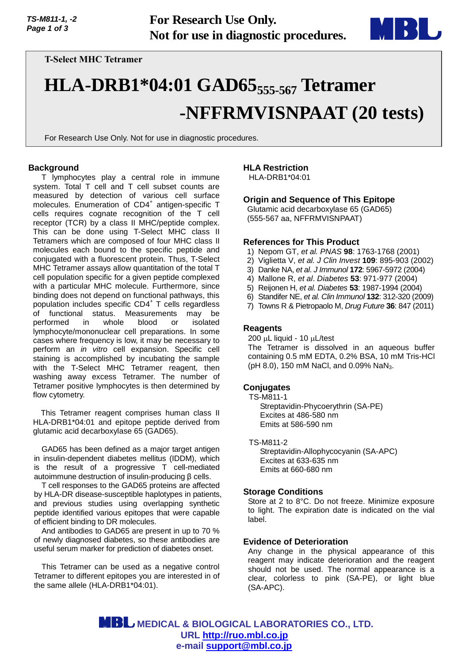

# **T-Select MHC Tetramer**

# **HLA-DRB1\*04:01 GAD65555-567 Tetramer -NFFRMVISNPAAT (20 tests)**

For Research Use Only. Not for use in diagnostic procedures.

# **Background**

T lymphocytes play a central role in immune system. Total T cell and T cell subset counts are measured by detection of various cell surface molecules. Enumeration of CD4<sup>+</sup> antigen-specific T cells requires cognate recognition of the T cell receptor (TCR) by a class II MHC/peptide complex. This can be done using T-Select MHC class II Tetramers which are composed of four MHC class II molecules each bound to the specific peptide and conjugated with a fluorescent protein. Thus, T-Select MHC Tetramer assays allow quantitation of the total T cell population specific for a given peptide complexed with a particular MHC molecule. Furthermore, since binding does not depend on functional pathways, this population includes specific CD4<sup>+</sup> T cells regardless of functional status. Measurements may be performed in whole blood or isolated lymphocyte/mononuclear cell preparations. In some cases where frequency is low, it may be necessary to perform an *in vitro* cell expansion. Specific cell staining is accomplished by incubating the sample with the T-Select MHC Tetramer reagent, then washing away excess Tetramer. The number of Tetramer positive lymphocytes is then determined by flow cytometry.

This Tetramer reagent comprises human class II HLA-DRB1\*04:01 and epitope peptide derived from glutamic acid decarboxylase 65 (GAD65).

GAD65 has been defined as a major target antigen in insulin-dependent diabetes mellitus (IDDM), which is the result of a progressive T cell-mediated autoimmune destruction of insulin-producing β cells.

T cell responses to the GAD65 proteins are affected by HLA-DR disease-susceptible haplotypes in patients, and previous studies using overlapping synthetic peptide identified various epitopes that were capable of efficient binding to DR molecules.

And antibodies to GAD65 are present in up to 70 % of newly diagnosed diabetes, so these antibodies are useful serum marker for prediction of diabetes onset.

This Tetramer can be used as a negative control Tetramer to different epitopes you are interested in of the same allele (HLA-DRB1\*04:01).

## **HLA Restriction**

HLA-DRB1\*04:01

# **Origin and Sequence of This Epitope**

Glutamic acid decarboxylase 65 (GAD65) (555-567 aa, NFFRMVISNPAAT)

#### **References for This Product**

- 1) Nepom GT, *et al. PNAS* **98**: 1763-1768 (2001)
- 2) Viglietta V, *et al. J Clin Invest* **109**: 895-903 (2002)
- 3) Danke NA, *et al*. *J Immunol* **172**: 5967-5972 (2004)
- 4) Mallone R, *et al*. *Diabetes* **53**: 971-977 (2004)
- 5) Reijonen H, *et al. Diabetes* **53**: 1987-1994 (2004)
- 6) Standifer NE, *et al. Clin Immunol* **132**: 312-320 (2009)
- 7) Towns R & Pietropaolo M, *Drug Future* **36**: 847 (2011)

## **Reagents**

 $200 \mu L$  liquid - 10  $\mu L$ /test The Tetramer is dissolved in an aqueous buffer containing 0.5 mM EDTA, 0.2% BSA, 10 mM Tris-HCl (pH 8.0), 150 mM NaCl, and 0.09% NaN<sub>3</sub>.

## **Conjugates**

TS-M811-1 Streptavidin-Phycoerythrin (SA-PE) Excites at 486-580 nm Emits at 586-590 nm

TS-M811-2 Streptavidin-Allophycocyanin (SA-APC) Excites at 633-635 nm Emits at 660-680 nm

## **Storage Conditions**

Store at 2 to 8°C. Do not freeze. Minimize exposure to light. The expiration date is indicated on the vial label.

## **Evidence of Deterioration**

Any change in the physical appearance of this reagent may indicate deterioration and the reagent should not be used. The normal appearance is a clear, colorless to pink (SA-PE), or light blue (SA-APC).

 **MEDICAL & BIOLOGICAL LABORATORIES CO., LTD. URL [http://ruo.mbl.co.jp](https://ruo.mbl.co.jp/) e-mail [support@mbl.co.jp](mailto:support@mbl.co.jp)**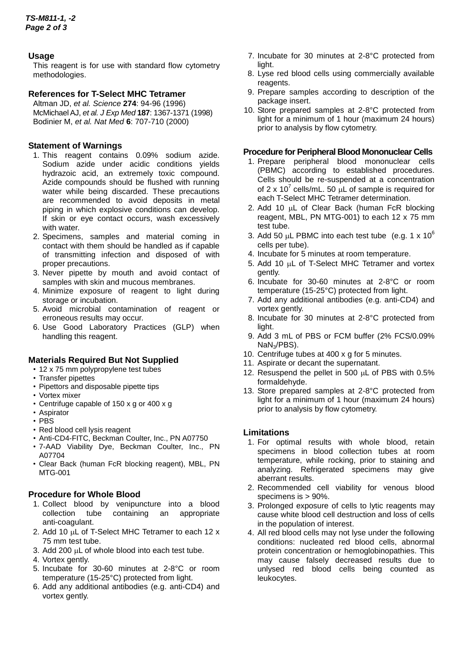# **Usage**

This reagent is for use with standard flow cytometry methodologies.

# **References for T-Select MHC Tetramer**

Altman JD, *et al. Science* **274**: 94-96 (1996) McMichael AJ, *et al. J Exp Med* **187**: 1367-1371 (1998) Bodinier M, *et al. Nat Med* **6**: 707-710 (2000)

# **Statement of Warnings**

- 1. This reagent contains 0.09% sodium azide. Sodium azide under acidic conditions yields hydrazoic acid, an extremely toxic compound. Azide compounds should be flushed with running water while being discarded. These precautions are recommended to avoid deposits in metal piping in which explosive conditions can develop. If skin or eye contact occurs, wash excessively with water.
- 2. Specimens, samples and material coming in contact with them should be handled as if capable of transmitting infection and disposed of with proper precautions.
- 3. Never pipette by mouth and avoid contact of samples with skin and mucous membranes.
- 4. Minimize exposure of reagent to light during storage or incubation.
- 5. Avoid microbial contamination of reagent or erroneous results may occur.
- 6. Use Good Laboratory Practices (GLP) when handling this reagent.

## **Materials Required But Not Supplied**

- 12 x 75 mm polypropylene test tubes
- Transfer pipettes
- Pipettors and disposable pipette tips
- Vortex mixer
- Centrifuge capable of 150 x g or 400 x g
- Aspirator
- PBS
- Red blood cell lysis reagent
- Anti-CD4-FITC, Beckman Coulter, Inc., PN A07750
- 7-AAD Viability Dye, Beckman Coulter, Inc., PN A07704
- Clear Back (human FcR blocking reagent), MBL, PN MTG-001

## **Procedure for Whole Blood**

- 1. Collect blood by venipuncture into a blood collection tube containing an appropriate anti-coagulant.
- 2. Add 10 µL of T-Select MHC Tetramer to each 12 x 75 mm test tube.
- 3. Add 200 µL of whole blood into each test tube.
- 4. Vortex gently.
- 5. Incubate for 30-60 minutes at 2-8°C or room temperature (15-25°C) protected from light.
- 6. Add any additional antibodies (e.g. anti-CD4) and vortex gently.
- 7. Incubate for 30 minutes at 2-8°C protected from light.
- 8. Lyse red blood cells using commercially available reagents.
- 9. Prepare samples according to description of the package insert.
- 10. Store prepared samples at 2-8°C protected from light for a minimum of 1 hour (maximum 24 hours) prior to analysis by flow cytometry.

## **Procedure for Peripheral Blood Mononuclear Cells**

- 1. Prepare peripheral blood mononuclear cells (PBMC) according to established procedures. Cells should be re-suspended at a concentration of 2 x 10<sup>7</sup> cells/mL. 50  $\mu$ L of sample is required for each T-Select MHC Tetramer determination.
- 2. Add 10 µL of Clear Back (human FcR blocking reagent, MBL, PN MTG-001) to each 12 x 75 mm test tube.
- 3. Add 50  $\mu$ L PBMC into each test tube (e.g. 1 x 10<sup>6</sup>) cells per tube).
- 4. Incubate for 5 minutes at room temperature.
- 5. Add 10 µL of T-Select MHC Tetramer and vortex gently.
- 6. Incubate for 30-60 minutes at 2-8°C or room temperature (15-25°C) protected from light.
- 7. Add any additional antibodies (e.g. anti-CD4) and vortex gently.
- 8. Incubate for 30 minutes at 2-8°C protected from light.
- 9. Add 3 mL of PBS or FCM buffer (2% FCS/0.09% NaN3/PBS).
- 10. Centrifuge tubes at 400 x g for 5 minutes.
- 11. Aspirate or decant the supernatant.
- 12. Resuspend the pellet in 500  $\mu$ L of PBS with 0.5% formaldehyde.
- 13. Store prepared samples at 2-8°C protected from light for a minimum of 1 hour (maximum 24 hours) prior to analysis by flow cytometry.

## **Limitations**

- 1. For optimal results with whole blood, retain specimens in blood collection tubes at room temperature, while rocking, prior to staining and analyzing. Refrigerated specimens may give aberrant results.
- 2. Recommended cell viability for venous blood specimens is > 90%.
- 3. Prolonged exposure of cells to lytic reagents may cause white blood cell destruction and loss of cells in the population of interest.
- 4. All red blood cells may not lyse under the following conditions: nucleated red blood cells, abnormal protein concentration or hemoglobinopathies. This may cause falsely decreased results due to unlysed red blood cells being counted as leukocytes.